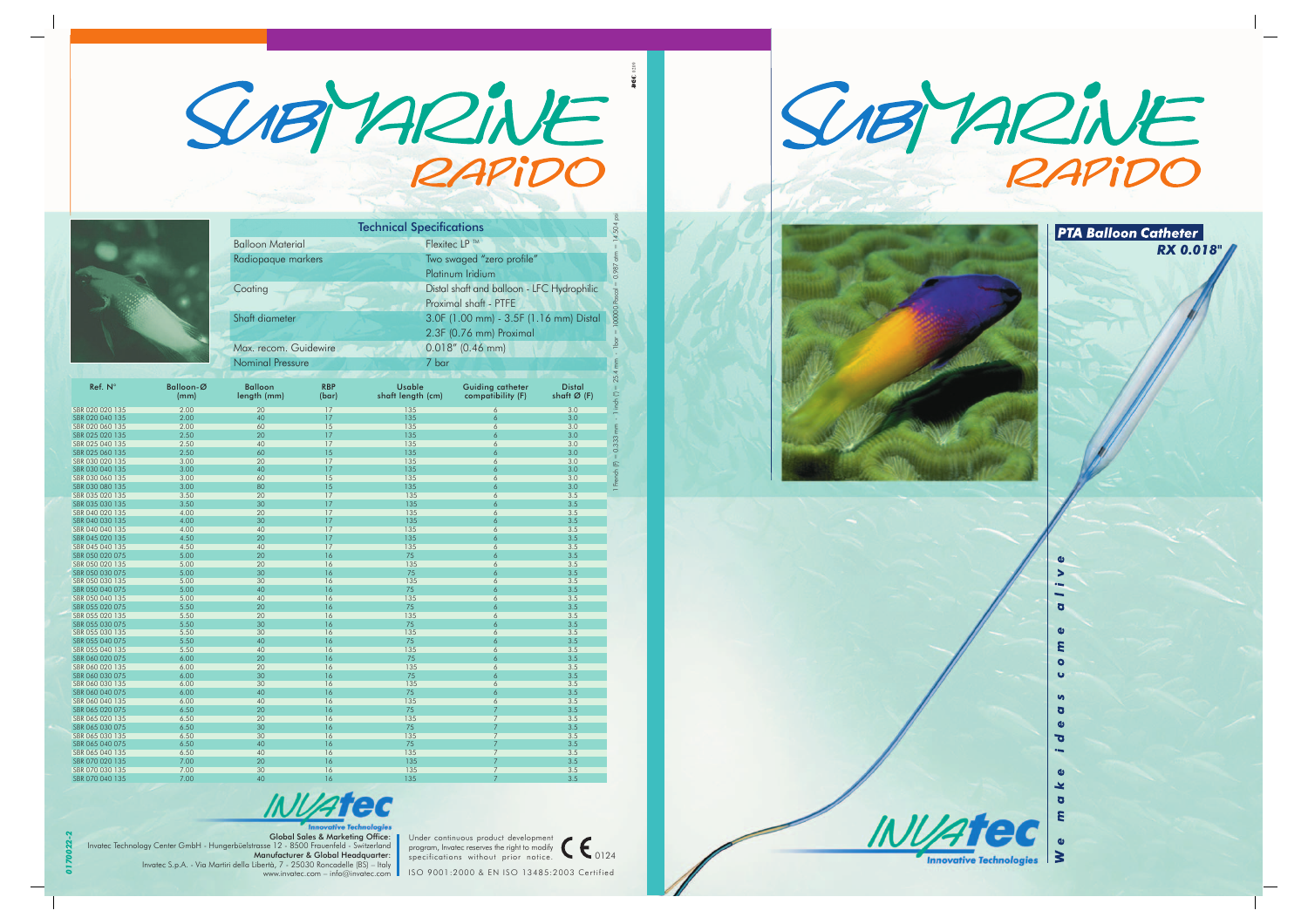



|                                           |                   | <b>Technical Specifications</b>                  |                         |                                    |                                            |                              |  |  |
|-------------------------------------------|-------------------|--------------------------------------------------|-------------------------|------------------------------------|--------------------------------------------|------------------------------|--|--|
|                                           |                   | Flexitec LP ™<br><b>Balloon Material</b>         |                         |                                    |                                            |                              |  |  |
|                                           |                   |                                                  |                         | Two swaged "zero profile"          |                                            |                              |  |  |
|                                           |                   | Radiopaque markers                               |                         |                                    |                                            |                              |  |  |
|                                           |                   |                                                  |                         | Platinum Iridium                   |                                            |                              |  |  |
|                                           |                   | Coating                                          |                         |                                    | Distal shaft and balloon - LFC Hydrophilic |                              |  |  |
|                                           |                   |                                                  |                         |                                    | Proximal shaft - PTFE                      |                              |  |  |
|                                           |                   | Shaft diameter                                   |                         |                                    | 3.0F (1.00 mm) - 3.5F (1.16 mm) Distal     |                              |  |  |
|                                           |                   |                                                  |                         |                                    |                                            |                              |  |  |
|                                           |                   |                                                  | 2.3F (0.76 mm) Proximal |                                    |                                            |                              |  |  |
|                                           |                   | Max. recom. Guidewire<br><b>Nominal Pressure</b> |                         | $0.018''$ (0.46 mm)<br>7 bar       |                                            |                              |  |  |
|                                           |                   |                                                  |                         |                                    |                                            |                              |  |  |
|                                           |                   |                                                  |                         |                                    |                                            |                              |  |  |
| Ref. N°                                   | Balloon-Ø<br>(mm) | <b>Balloon</b><br>length (mm)                    | <b>RBP</b><br>(bar)     | <b>Usable</b><br>shaft length (cm) | Guiding catheter<br>compatibility (F)      | <b>Distal</b><br>shaft Ø (F) |  |  |
| SBR 020 020 135                           | 2.00              | 20                                               | 17                      | 135                                | 6                                          | 3.0                          |  |  |
| SBR 020 040 135<br>SBR 020 060 135        | 2.00<br>2.00      | 40<br>60                                         | 17<br>15                | 135<br>135                         | 6<br>6                                     | 3.0<br>3.0                   |  |  |
| SBR 025 020 135                           | 2.50              | 20                                               | 17                      | 135                                | 6                                          | 3.0                          |  |  |
| SBR 025 040 135                           | 2.50              | 40                                               | 17                      | 135                                | 6                                          | 3.0                          |  |  |
| SBR 025 060 135                           | 2.50              | 60                                               | 15                      | 135                                | 6                                          | 3.0                          |  |  |
| SBR 030 020 135                           | 3.00              | 20                                               | 17                      | 135                                | 6                                          | 3.0                          |  |  |
| SBR 030 040 135<br>SBR 030 060 135        | 3.00<br>3.00      | 40<br>60                                         | 17<br>15                | 135<br>135                         | 6<br>6                                     | 3.0<br>3.0                   |  |  |
| SBR 030 080 135                           | 3.00              | 80                                               | 15                      | 135                                | 6                                          | 3.0                          |  |  |
| SBR 035 020 135                           | 3.50              | 20                                               | 17                      | 135                                | 6                                          | 3.5                          |  |  |
| SBR 035 030 135                           | 3.50              | 30                                               | 17                      | 135                                | 6                                          | 3.5                          |  |  |
| SBR 040 020 135                           | 4.00              | 20                                               | 17                      | 135                                | 6                                          | 3.5                          |  |  |
| SBR 040 030 135                           | 4.00              | 30                                               | 17                      | 135                                | 6                                          | 3.5                          |  |  |
| SBR 040 040 135<br>SBR 045 020 135        | 4.00<br>4.50      | 40<br>20                                         | 17<br>17                | 135<br>135                         | $\overline{6}$<br>6                        | 3.5<br>3.5                   |  |  |
| SBR 045 040 135                           | 4.50              | 40                                               | 17                      | 135                                | 6                                          | 3.5                          |  |  |
| SBR 050 020 075                           | 5.00              | 20                                               | 16                      | 75                                 | 6                                          | 3.5                          |  |  |
| SBR 050 020 135                           | 5.00              | 20                                               | 16                      | 135                                | 6                                          | 3.5                          |  |  |
| SBR 050 030 075                           | 5.00              | 30                                               | 16                      | 75                                 | 6                                          | 3.5                          |  |  |
| SBR 050 030 135                           | 5.00              | 30                                               | 16                      | 135                                | 6                                          | 3.5                          |  |  |
| SBR 050 040 075<br>SBR 050 040 135        | 5.00<br>5.00      | 40<br>40                                         | 16<br>16                | 75<br>135                          | 6<br>6                                     | 3.5<br>3.5                   |  |  |
| SBR 055 020 075                           | 5.50              | 20                                               | 16                      | 75                                 | 6                                          | 3.5                          |  |  |
| SBR 055 020 135                           | 5.50              | 20                                               | 16                      | 135                                | 6                                          | 3.5                          |  |  |
| SBR 055 030 075                           | 5.50              | 30                                               | 16                      | 75                                 | 6                                          | 3.5                          |  |  |
| SBR 055 030 135                           | 5.50              | 30                                               | $\overline{16}$         | 135                                | 6                                          | 3.5                          |  |  |
| SBR 055 040 075                           | 5.50              | 40                                               | 16                      | 75                                 | 6                                          | 3.5                          |  |  |
| SBR 055 040 135<br>SBR 060 020 075        | 5.50<br>6.00      | 40<br>20                                         | 16<br>16                | 135<br>75                          | 6<br>6                                     | 3.5<br>3.5                   |  |  |
| SBR 060 020 135                           | 6.00              | 20                                               | 16                      | 135                                | 6                                          | 3.5                          |  |  |
| SBR 060 030 075                           | 6.00              | 30                                               | 16                      | 75                                 | 6                                          | 3.5                          |  |  |
| SBR 060 030 135                           | 6.00              | 30                                               | 16                      | 135                                | 6                                          | 3.5                          |  |  |
| SBR 060 040 075                           | 6.00              | 40                                               | 16                      | 75                                 | 6                                          | 3.5                          |  |  |
| SBR 060 040 135                           | 6.00              | 40                                               | 16                      | 135                                | 6                                          | 3.5                          |  |  |
| SBR 065 020 075<br>SBR 065 020 135        | 6.50<br>6.50      | 20<br>20                                         | 16<br>16                | 75<br>135                          | 7<br>$\overline{7}$                        | 3.5<br>3.5                   |  |  |
| SBR 065 030 075                           | 6.50              | 30                                               | 16                      | 75                                 | 7                                          | 3.5                          |  |  |
| SBR 065 030 135                           | 6.50              | 30                                               | 16                      | 135                                | 7                                          | 3.5                          |  |  |
| SBR 065 040 075                           | 6.50              | 40                                               | 16                      | 75                                 |                                            | 3.5                          |  |  |
| SBR 065 040 135                           | 6.50              | 40                                               | 16                      | 135                                | 7                                          | 3.5                          |  |  |
| SBR 070 020 135                           | 7.00              | 20                                               | 16                      | 135                                | $\overline{7}$                             | 3.5                          |  |  |
| SBR 070 030 135<br><b>SPD 070 040 125</b> | 7.00<br>7.00      | 30<br>$\overline{40}$                            | 16<br>14                | 135<br>125                         | 7                                          | 3.5<br>2 <sub>5</sub>        |  |  |

SBR 070 040 135 7.00 40 16 135 7 3.5 **INVAtec** 

Global Sales & Marketing Office: Invatec Technology Center GmbH - Hungerbüelstrasse 12 - 8500 Frauenfeld - Switzerland Manufacturer & Global Headquarter: Invatec S.p.A. - Via Martiri della Libertà, 7 - 25030 Roncadelle (BS) – Italy www.invatec.com – info@invatec.com

*0170022-2*









**RX 0.018"** 

**PTA Balloon Catheter**